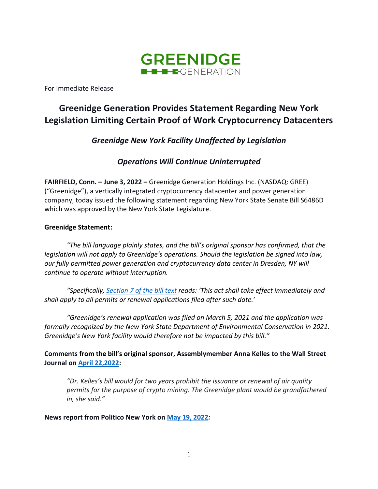

For Immediate Release

# **Greenidge Generation Provides Statement Regarding New York Legislation Limiting Certain Proof of Work Cryptocurrency Datacenters**

*Greenidge New York Facility Unaffected by Legislation*

*Operations Will Continue Uninterrupted*

**FAIRFIELD, Conn. – June 3, 2022 –** [Greenidge Generation Holdings Inc.](https://greenidge.com/) (NASDAQ: GREE) ("Greenidge"), a vertically integrated cryptocurrency datacenter and power generation company, today issued the following statement regarding New York State Senate Bill S6486D which was approved by the New York State Legislature.

### **Greenidge Statement:**

*"The bill language plainly states, and the bill's original sponsor has confirmed, that the legislation will not apply to Greenidge's operations. Should the legislation be signed into law, our fully permitted power generation and cryptocurrency data center in Dresden, NY will continue to operate without interruption.*

*"Specifically, [Section 7 of the bill text](https://www.nysenate.gov/legislation/bills/2021/a7389/amendment/c) reads: 'This act shall take effect immediately and shall apply to all permits or renewal applications filed after such date.'*

*"Greenidge's renewal application was filed on March 5, 2021 and the application was formally recognized by the New York State Department of Environmental Conservation in 2021. Greenidge's New York facility would therefore not be impacted by this bill."*

**Comments from the bill's original sponsor, Assemblymember Anna Kelles to the Wall Street Journal on [April 22,2022:](https://www.wsj.com/articles/new-york-is-battleground-for-crypto-mining-fight-11650583629)**

*"Dr. Kelles's bill would for two years prohibit the issuance or renewal of air quality permits for the purpose of crypto mining. The Greenidge plant would be grandfathered in, she said."*

**News report from Politico New York on [May 19, 2022](https://www.politico.com/news/2022/05/19/cryptocurrency-mining-blossoms-in-upstate-new-york-but-it-hasnt-been-well-received-00033354)***:*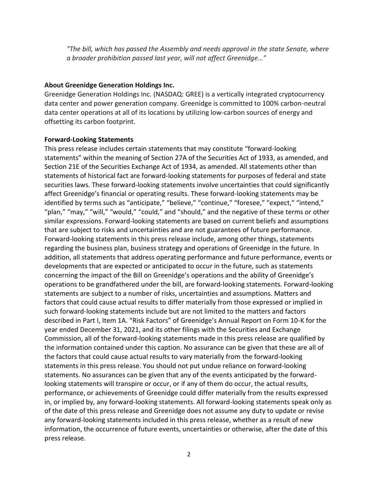*"The bill, which has passed the Assembly and needs approval in the state Senate, where a broader prohibition passed last year, will not affect Greenidge…"*

#### **About Greenidge Generation Holdings Inc.**

Greenidge Generation Holdings Inc. (NASDAQ: GREE) is a vertically integrated cryptocurrency data center and power generation company. Greenidge is committed to 100% carbon-neutral data center operations at all of its locations by utilizing low-carbon sources of energy and offsetting its carbon footprint.

#### **Forward-Looking Statements**

This press release includes certain statements that may constitute "forward-looking statements" within the meaning of Section 27A of the Securities Act of 1933, as amended, and Section 21E of the Securities Exchange Act of 1934, as amended. All statements other than statements of historical fact are forward-looking statements for purposes of federal and state securities laws. These forward-looking statements involve uncertainties that could significantly affect Greenidge's financial or operating results. These forward-looking statements may be identified by terms such as "anticipate," "believe," "continue," "foresee," "expect," "intend," "plan," "may," "will," "would," "could," and "should," and the negative of these terms or other similar expressions. Forward-looking statements are based on current beliefs and assumptions that are subject to risks and uncertainties and are not guarantees of future performance. Forward-looking statements in this press release include, among other things, statements regarding the business plan, business strategy and operations of Greenidge in the future. In addition, all statements that address operating performance and future performance, events or developments that are expected or anticipated to occur in the future, such as statements concerning the impact of the Bill on Greenidge's operations and the ability of Greenidge's operations to be grandfathered under the bill, are forward-looking statements. Forward-looking statements are subject to a number of risks, uncertainties and assumptions. Matters and factors that could cause actual results to differ materially from those expressed or implied in such forward-looking statements include but are not limited to the matters and factors described in Part I, Item 1A. "Risk Factors" of Greenidge's Annual Report on Form 10-K for the year ended December 31, 2021, and its other filings with the Securities and Exchange Commission, all of the forward-looking statements made in this press release are qualified by the information contained under this caption. No assurance can be given that these are all of the factors that could cause actual results to vary materially from the forward-looking statements in this press release. You should not put undue reliance on forward-looking statements. No assurances can be given that any of the events anticipated by the forwardlooking statements will transpire or occur, or if any of them do occur, the actual results, performance, or achievements of Greenidge could differ materially from the results expressed in, or implied by, any forward-looking statements. All forward-looking statements speak only as of the date of this press release and Greenidge does not assume any duty to update or revise any forward-looking statements included in this press release, whether as a result of new information, the occurrence of future events, uncertainties or otherwise, after the date of this press release.